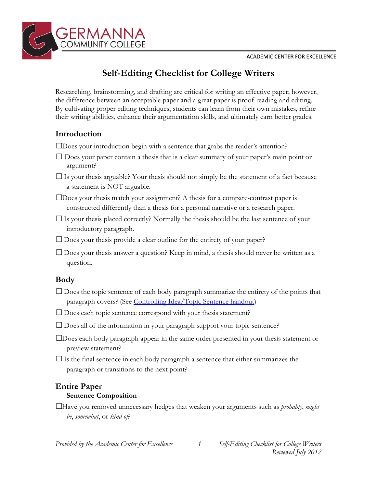

# **Self-Editing Checklist for College Writers**

Researching, brainstorming, and drafting are critical for writing an effective paper; however, the difference between an acceptable paper and a great paper is proof-reading and editing. By cultivating proper editing techniques, students can learn from their own mistakes, refine their writing abilities, enhance their argumentation skills, and ultimately earn better grades.

# **Introduction**

□ Does your introduction begin with a sentence that grabs the reader's attention?

 $\Box$  Does your paper contain a thesis that is a clear summary of your paper's main point or argument?

 $\Box$  Is your thesis arguable? Your thesis should not simply be the statement of a fact because a statement is NOT arguable.

 $\square$ Does your thesis match your assignment? A thesis for a compare-contrast paper is constructed differently than a thesis for a personal narrative or a research paper.

 $\Box$  Is your thesis placed correctly? Normally the thesis should be the last sentence of your introductory paragraph.

 $\square$  Does your thesis provide a clear outline for the entirety of your paper?

 $\square$  Does your thesis answer a question? Keep in mind, a thesis should never be written as a question.

# **Body**

 $\Box$  Does the topic sentence of each body paragraph summarize the entirety of the points that paragraph covers? (See [Controlling Idea/Topic Sentence handout\)](https://www.germanna.edu/wp-content/uploads/tutoring/handout/Controlling-Ideas-and-Topic-Sentences.pdf)

 $\Box$  Does each topic sentence correspond with your thesis statement?

 $\square$  Does all of the information in your paragraph support your topic sentence?

☐Does each body paragraph appear in the same order presented in your thesis statement or preview statement?

 $\square$  Is the final sentence in each body paragraph a sentence that either summarizes the paragraph or transitions to the next point?

# **Entire Paper**

## **Sentence Composition**

☐Have you removed unnecessary hedges that weaken your arguments such as *probably*, *might be*, *somewhat*, or *kind of*?

*Provided by the Academic Center for Excellence 1 Self-Editing Checklist for College Writers*

*Reviewed July 2012*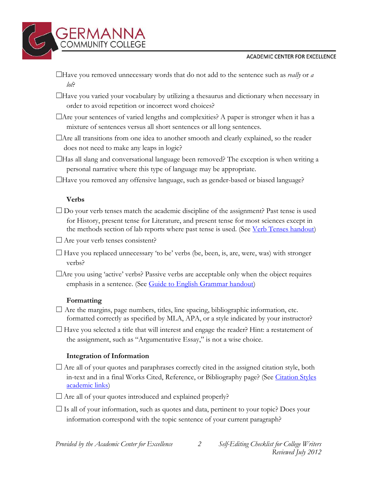#### **ACADEMIC CENTER FOR EXCELLENCE**



- ☐ Have you removed unnecessary words that do not add to the sentence such as *really* or *a lot*?
- $\Box$  Have you varied your vocabulary by utilizing a the saurus and dictionary when necessary in order to avoid repetition or incorrect word choices?
- $\Box$  Are your sentences of varied lengths and complexities? A paper is stronger when it has a mixture of sentences versus all short sentences or all long sentences.
- $\Box$  Are all transitions from one idea to another smooth and clearly explained, so the reader does not need to make any leaps in logic?
- $\Box$ Has all slang and conversational language been removed? The exception is when writing a personal narrative where this type of language may be appropriate.
- ☐Have you removed any offensive language, such as gender-based or biased language?

## **Verbs**

- $\square$  Do your verb tenses match the academic discipline of the assignment? Past tense is used for History, present tense for Literature, and present tense for most sciences except in the methods section of lab reports where past tense is used. (See <u>Verb Tenses handout</u>)
- $\Box$  Are your verb tenses consistent?
- $\Box$  Have you replaced unnecessary 'to be' verbs (be, been, is, are, were, was) with stronger verbs?
- $\Box$ Are you using 'active' verbs? Passive verbs are acceptable only when the object requires emphasis in a sentence. (See [Guide to English Grammar handout\)](https://www.germanna.edu/wp-content/uploads/tutoring/handout/Guide-to-English-Grammar.pdf)

## **Formatting**

- $\Box$  Are the margins, page numbers, titles, line spacing, bibliographic information, etc. formatted correctly as specified by MLA, APA, or a style indicated by your instructor?
- $\Box$  Have you selected a title that will interest and engage the reader? Hint: a restatement of the assignment, such as "Argumentative Essay," is not a wise choice.

## **Integration of Information**

- □ Are all of your quotes and paraphrases correctly cited in the assigned citation style, both in-text and in a final Works Cited, Reference, or Bibliography page? (See [Citation Styles](http://www.germanna.edu/tutoring/citation-styles/)  [academic links](http://www.germanna.edu/tutoring/citation-styles/))
- $\Box$  Are all of your quotes introduced and explained properly?
- $\Box$  Is all of your information, such as quotes and data, pertinent to your topic? Does your information correspond with the topic sentence of your current paragraph?